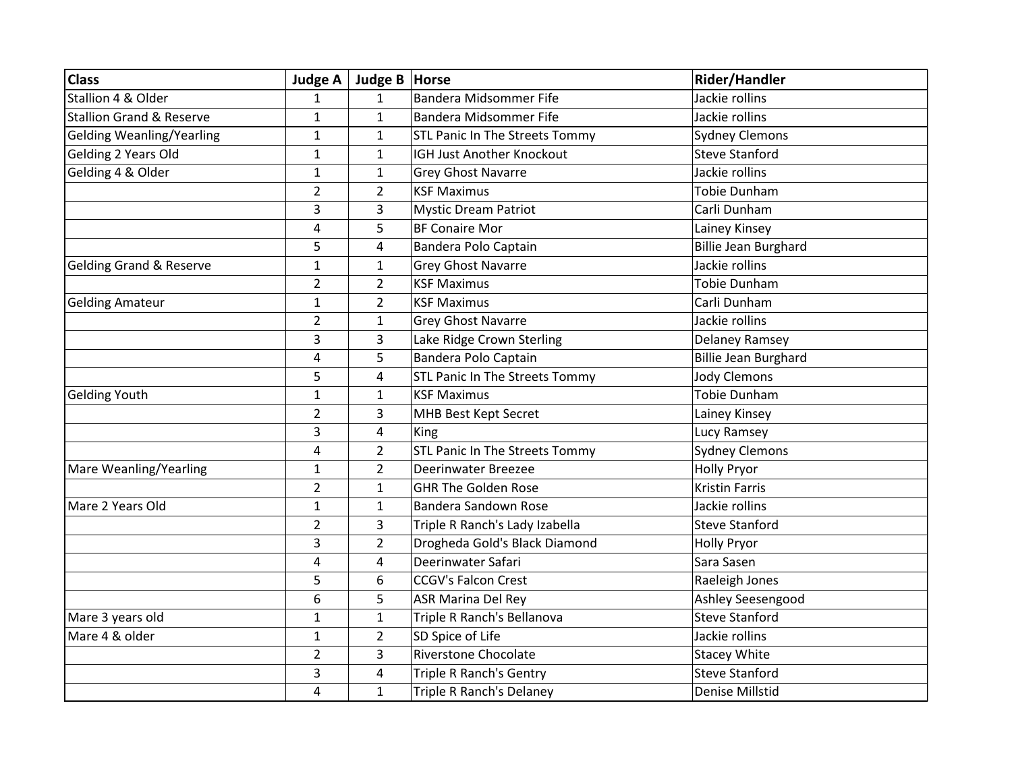| <b>Class</b>                        | <b>Judge A</b>          | Judge B   Horse |                                       | Rider/Handler               |
|-------------------------------------|-------------------------|-----------------|---------------------------------------|-----------------------------|
| Stallion 4 & Older                  | $\mathbf{1}$            | $\mathbf{1}$    | <b>Bandera Midsommer Fife</b>         | Jackie rollins              |
| <b>Stallion Grand &amp; Reserve</b> | $\mathbf{1}$            | $\mathbf{1}$    | <b>Bandera Midsommer Fife</b>         | Jackie rollins              |
| <b>Gelding Weanling/Yearling</b>    | $\mathbf{1}$            | $\mathbf{1}$    | STL Panic In The Streets Tommy        | <b>Sydney Clemons</b>       |
| Gelding 2 Years Old                 | $\mathbf{1}$            | $\mathbf{1}$    | IGH Just Another Knockout             | <b>Steve Stanford</b>       |
| Gelding 4 & Older                   | $\mathbf{1}$            | $\mathbf{1}$    | <b>Grey Ghost Navarre</b>             | Jackie rollins              |
|                                     | $\overline{2}$          | $\overline{2}$  | <b>KSF Maximus</b>                    | <b>Tobie Dunham</b>         |
|                                     | 3                       | 3               | <b>Mystic Dream Patriot</b>           | Carli Dunham                |
|                                     | 4                       | 5               | <b>BF Conaire Mor</b>                 | Lainey Kinsey               |
|                                     | 5                       | $\overline{4}$  | Bandera Polo Captain                  | <b>Billie Jean Burghard</b> |
| <b>Gelding Grand &amp; Reserve</b>  | $\mathbf{1}$            | $\mathbf{1}$    | <b>Grey Ghost Navarre</b>             | Jackie rollins              |
|                                     | $\overline{2}$          | $\overline{2}$  | <b>KSF Maximus</b>                    | <b>Tobie Dunham</b>         |
| <b>Gelding Amateur</b>              | $\mathbf{1}$            | $\overline{2}$  | <b>KSF Maximus</b>                    | Carli Dunham                |
|                                     | $\overline{2}$          | $\mathbf{1}$    | <b>Grey Ghost Navarre</b>             | Jackie rollins              |
|                                     | 3                       | 3               | Lake Ridge Crown Sterling             | Delaney Ramsey              |
|                                     | $\overline{\mathbf{4}}$ | 5               | Bandera Polo Captain                  | <b>Billie Jean Burghard</b> |
|                                     | 5                       | 4               | STL Panic In The Streets Tommy        | <b>Jody Clemons</b>         |
| <b>Gelding Youth</b>                | $\mathbf{1}$            | $\mathbf{1}$    | <b>KSF Maximus</b>                    | <b>Tobie Dunham</b>         |
|                                     | $\overline{2}$          | 3               | MHB Best Kept Secret                  | Lainey Kinsey               |
|                                     | 3                       | 4               | King                                  | Lucy Ramsey                 |
|                                     | 4                       | $\overline{2}$  | <b>STL Panic In The Streets Tommy</b> | <b>Sydney Clemons</b>       |
| Mare Weanling/Yearling              | $\mathbf{1}$            | $\overline{2}$  | Deerinwater Breezee                   | <b>Holly Pryor</b>          |
|                                     | $\overline{2}$          | $\mathbf{1}$    | <b>GHR The Golden Rose</b>            | <b>Kristin Farris</b>       |
| Mare 2 Years Old                    | $\mathbf{1}$            | $\mathbf{1}$    | Bandera Sandown Rose                  | Jackie rollins              |
|                                     | $\overline{2}$          | 3               | Triple R Ranch's Lady Izabella        | <b>Steve Stanford</b>       |
|                                     | 3                       | $\overline{2}$  | Drogheda Gold's Black Diamond         | <b>Holly Pryor</b>          |
|                                     | $\overline{\mathbf{4}}$ | $\overline{4}$  | Deerinwater Safari                    | Sara Sasen                  |
|                                     | 5                       | 6               | <b>CCGV's Falcon Crest</b>            | Raeleigh Jones              |
|                                     | 6                       | 5               | <b>ASR Marina Del Rey</b>             | Ashley Seesengood           |
| Mare 3 years old                    | $\mathbf{1}$            | $\mathbf{1}$    | Triple R Ranch's Bellanova            | <b>Steve Stanford</b>       |
| Mare 4 & older                      | $\mathbf{1}$            | $\overline{2}$  | SD Spice of Life                      | Jackie rollins              |
|                                     | $\overline{2}$          | 3               | <b>Riverstone Chocolate</b>           | <b>Stacey White</b>         |
|                                     | 3                       | 4               | <b>Triple R Ranch's Gentry</b>        | <b>Steve Stanford</b>       |
|                                     | $\overline{4}$          | $\mathbf{1}$    | <b>Triple R Ranch's Delaney</b>       | Denise Millstid             |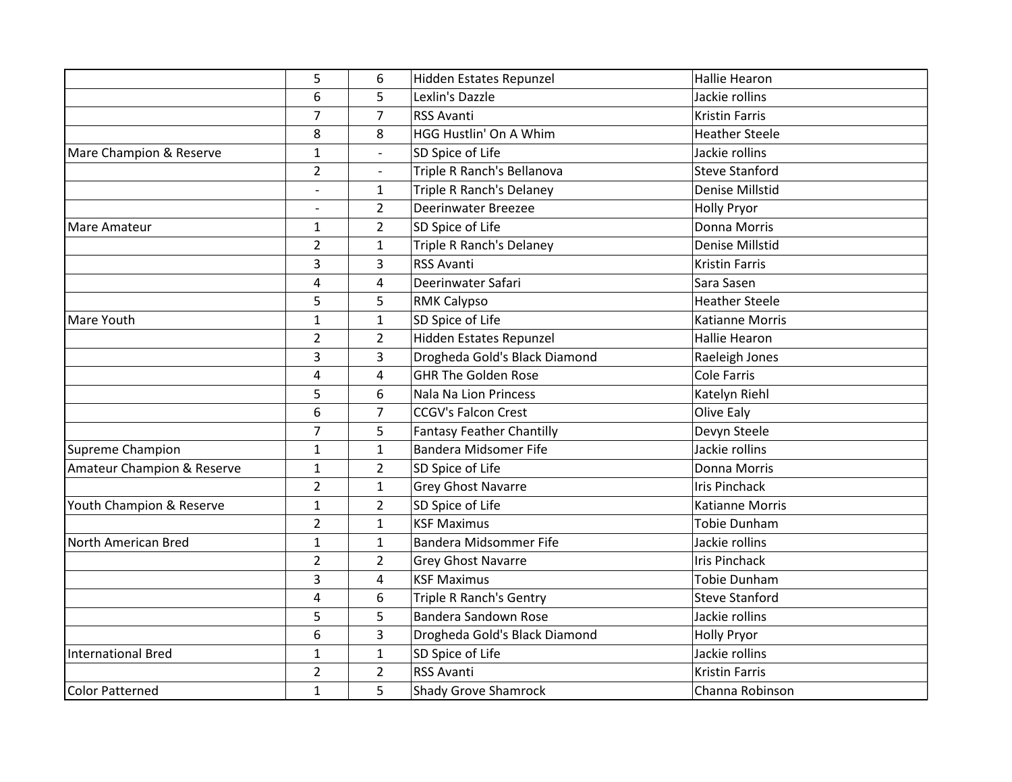|                            | 5<br>6                   | 6              | Hidden Estates Repunzel          | <b>Hallie Hearon</b>   |
|----------------------------|--------------------------|----------------|----------------------------------|------------------------|
|                            |                          |                |                                  |                        |
|                            |                          | 5              | Lexlin's Dazzle                  | Jackie rollins         |
|                            | $\overline{7}$           | $\overline{7}$ | <b>RSS Avanti</b>                | <b>Kristin Farris</b>  |
|                            | 8                        | 8              | <b>HGG Hustlin' On A Whim</b>    | <b>Heather Steele</b>  |
| Mare Champion & Reserve    | $\mathbf{1}$             |                | SD Spice of Life                 | Jackie rollins         |
|                            | $\overline{2}$           |                | Triple R Ranch's Bellanova       | <b>Steve Stanford</b>  |
|                            | $\overline{a}$           | $\mathbf{1}$   | <b>Triple R Ranch's Delaney</b>  | <b>Denise Millstid</b> |
|                            | $\overline{\phantom{0}}$ | $\overline{2}$ | <b>Deerinwater Breezee</b>       | <b>Holly Pryor</b>     |
| Mare Amateur               | $\mathbf{1}$             | $\overline{2}$ | SD Spice of Life                 | Donna Morris           |
|                            | $\overline{2}$           | $\mathbf{1}$   | <b>Triple R Ranch's Delaney</b>  | <b>Denise Millstid</b> |
|                            | 3                        | 3              | <b>RSS Avanti</b>                | <b>Kristin Farris</b>  |
|                            | 4                        | 4              | Deerinwater Safari               | Sara Sasen             |
|                            | 5                        | 5              | <b>RMK Calypso</b>               | <b>Heather Steele</b>  |
| Mare Youth                 | $\mathbf{1}$             | $\mathbf{1}$   | SD Spice of Life                 | <b>Katianne Morris</b> |
|                            | $\overline{2}$           | $\overline{2}$ | Hidden Estates Repunzel          | <b>Hallie Hearon</b>   |
|                            | 3                        | 3              | Drogheda Gold's Black Diamond    | Raeleigh Jones         |
|                            | 4                        | 4              | <b>GHR The Golden Rose</b>       | <b>Cole Farris</b>     |
|                            | 5                        | 6              | Nala Na Lion Princess            | Katelyn Riehl          |
|                            | 6                        | $\overline{7}$ | <b>CCGV's Falcon Crest</b>       | Olive Ealy             |
|                            | $\overline{7}$           | 5              | <b>Fantasy Feather Chantilly</b> | Devyn Steele           |
| Supreme Champion           | $\mathbf{1}$             | $\mathbf{1}$   | <b>Bandera Midsomer Fife</b>     | Jackie rollins         |
| Amateur Champion & Reserve | $\mathbf{1}$             | $\overline{2}$ | SD Spice of Life                 | Donna Morris           |
|                            | $\overline{2}$           | $\mathbf{1}$   | <b>Grey Ghost Navarre</b>        | <b>Iris Pinchack</b>   |
| Youth Champion & Reserve   | $\mathbf{1}$             | $\overline{2}$ | SD Spice of Life                 | <b>Katianne Morris</b> |
|                            | $\overline{2}$           | $\mathbf{1}$   | <b>KSF Maximus</b>               | <b>Tobie Dunham</b>    |
| North American Bred        | $\mathbf{1}$             | $\mathbf{1}$   | Bandera Midsommer Fife           | Jackie rollins         |
|                            | $\overline{2}$           | $\overline{2}$ | <b>Grey Ghost Navarre</b>        | <b>Iris Pinchack</b>   |
|                            | 3                        | 4              | <b>KSF Maximus</b>               | Tobie Dunham           |
|                            | 4                        | 6              | <b>Triple R Ranch's Gentry</b>   | <b>Steve Stanford</b>  |
|                            | 5                        | 5              | Bandera Sandown Rose             | Jackie rollins         |
|                            | 6                        | $\overline{3}$ | Drogheda Gold's Black Diamond    | <b>Holly Pryor</b>     |
| <b>International Bred</b>  | $\mathbf{1}$             | $\mathbf{1}$   | SD Spice of Life                 | Jackie rollins         |
|                            | $\overline{2}$           | $\overline{2}$ | <b>RSS Avanti</b>                | <b>Kristin Farris</b>  |
| <b>Color Patterned</b>     | $\mathbf{1}$             | 5              | <b>Shady Grove Shamrock</b>      | Channa Robinson        |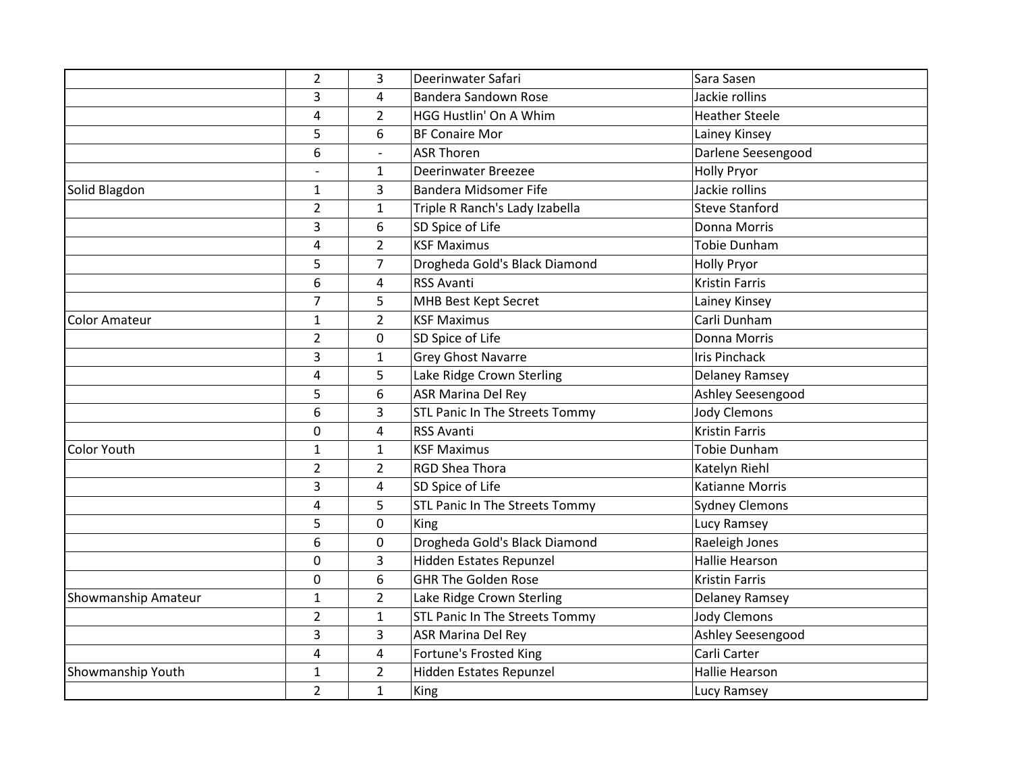|                            | $\overline{2}$ | 3                       | Deerinwater Safari             | Sara Sasen             |
|----------------------------|----------------|-------------------------|--------------------------------|------------------------|
|                            | 3              | 4                       | Bandera Sandown Rose           | Jackie rollins         |
|                            | 4              | $\overline{2}$          | HGG Hustlin' On A Whim         | <b>Heather Steele</b>  |
|                            | 5              | 6                       | <b>BF Conaire Mor</b>          | Lainey Kinsey          |
|                            | 6              | $\overline{a}$          | <b>ASR Thoren</b>              | Darlene Seesengood     |
|                            |                | $\mathbf{1}$            | <b>Deerinwater Breezee</b>     | <b>Holly Pryor</b>     |
| Solid Blagdon              | $\mathbf{1}$   | 3                       | Bandera Midsomer Fife          | Jackie rollins         |
|                            | $\overline{2}$ | $\mathbf{1}$            | Triple R Ranch's Lady Izabella | <b>Steve Stanford</b>  |
|                            | 3              | 6                       | SD Spice of Life               | Donna Morris           |
|                            | $\overline{4}$ | $\overline{2}$          | <b>KSF Maximus</b>             | <b>Tobie Dunham</b>    |
|                            | 5              | $\overline{7}$          | Drogheda Gold's Black Diamond  | <b>Holly Pryor</b>     |
|                            | 6              | 4                       | <b>RSS Avanti</b>              | Kristin Farris         |
|                            | $\overline{7}$ | 5                       | MHB Best Kept Secret           | Lainey Kinsey          |
| <b>Color Amateur</b>       | $\mathbf{1}$   | $\overline{2}$          | <b>KSF Maximus</b>             | Carli Dunham           |
|                            | $\overline{2}$ | 0                       | SD Spice of Life               | Donna Morris           |
|                            | 3              | $\mathbf{1}$            | <b>Grey Ghost Navarre</b>      | <b>Iris Pinchack</b>   |
|                            | 4              | 5                       | Lake Ridge Crown Sterling      | Delaney Ramsey         |
|                            | 5              | 6                       | <b>ASR Marina Del Rey</b>      | Ashley Seesengood      |
|                            | 6              | 3                       | STL Panic In The Streets Tommy | <b>Jody Clemons</b>    |
|                            | 0              | $\overline{\mathbf{4}}$ | <b>RSS Avanti</b>              | <b>Kristin Farris</b>  |
| <b>Color Youth</b>         | $\mathbf{1}$   | $\mathbf{1}$            | <b>KSF Maximus</b>             | <b>Tobie Dunham</b>    |
|                            | $\overline{2}$ | $\overline{2}$          | <b>RGD Shea Thora</b>          | Katelyn Riehl          |
|                            | 3              | 4                       | SD Spice of Life               | <b>Katianne Morris</b> |
|                            | 4              | 5                       | STL Panic In The Streets Tommy | <b>Sydney Clemons</b>  |
|                            | 5              | 0                       | King                           | Lucy Ramsey            |
|                            | 6              | 0                       | Drogheda Gold's Black Diamond  | Raeleigh Jones         |
|                            | $\mathbf 0$    | 3                       | Hidden Estates Repunzel        | <b>Hallie Hearson</b>  |
|                            | $\mathbf 0$    | 6                       | <b>GHR The Golden Rose</b>     | <b>Kristin Farris</b>  |
| <b>Showmanship Amateur</b> | $\mathbf{1}$   | $\overline{2}$          | Lake Ridge Crown Sterling      | Delaney Ramsey         |
|                            | $\overline{2}$ | $\mathbf{1}$            | STL Panic In The Streets Tommy | <b>Jody Clemons</b>    |
|                            | 3              | 3                       | <b>ASR Marina Del Rey</b>      | Ashley Seesengood      |
|                            | 4              | 4                       | Fortune's Frosted King         | Carli Carter           |
| Showmanship Youth          | $\mathbf{1}$   | $\overline{2}$          | Hidden Estates Repunzel        | Hallie Hearson         |
|                            | $\overline{2}$ | $\mathbf{1}$            | King                           | Lucy Ramsey            |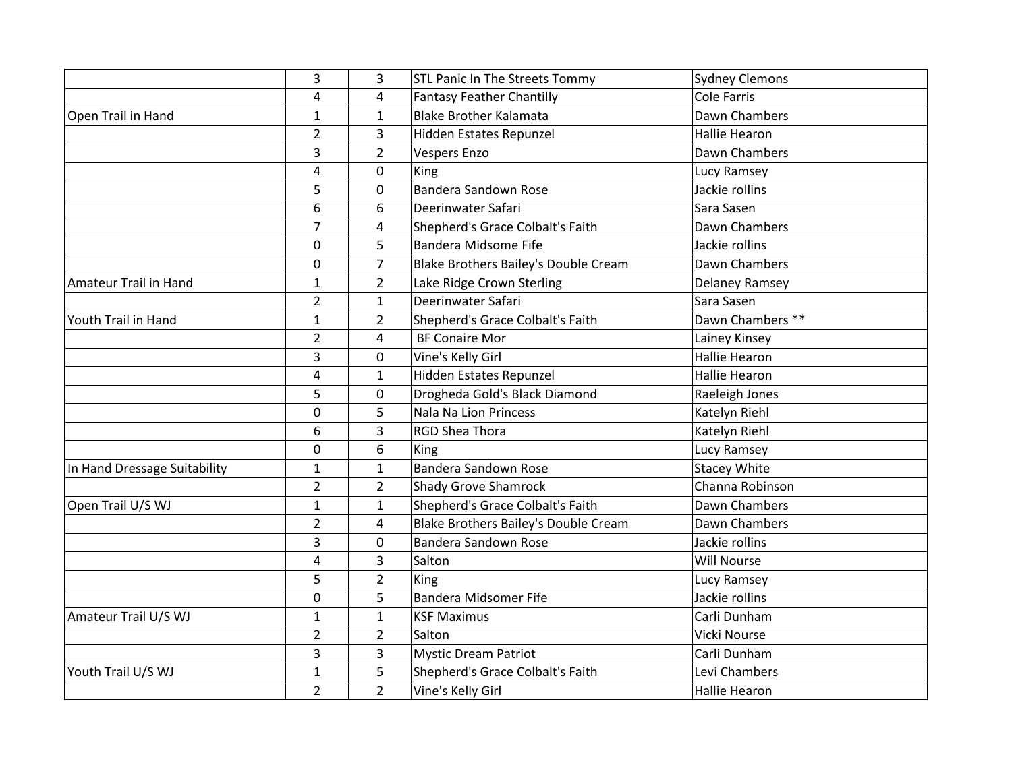|                              | 3              | 3              | STL Panic In The Streets Tommy       | <b>Sydney Clemons</b> |
|------------------------------|----------------|----------------|--------------------------------------|-----------------------|
|                              | 4              | 4              | <b>Fantasy Feather Chantilly</b>     | <b>Cole Farris</b>    |
| Open Trail in Hand           | $\mathbf{1}$   | $\mathbf{1}$   | <b>Blake Brother Kalamata</b>        | Dawn Chambers         |
|                              | $\overline{2}$ | 3              | Hidden Estates Repunzel              | <b>Hallie Hearon</b>  |
|                              | 3              | $\overline{2}$ | <b>Vespers Enzo</b>                  | Dawn Chambers         |
|                              | $\overline{4}$ | 0              | King                                 | Lucy Ramsey           |
|                              | 5              | 0              | Bandera Sandown Rose                 | Jackie rollins        |
|                              | 6              | 6              | Deerinwater Safari                   | Sara Sasen            |
|                              | $\overline{7}$ | 4              | Shepherd's Grace Colbalt's Faith     | Dawn Chambers         |
|                              | 0              | 5              | Bandera Midsome Fife                 | Jackie rollins        |
|                              | 0              | $\overline{7}$ | Blake Brothers Bailey's Double Cream | Dawn Chambers         |
| <b>Amateur Trail in Hand</b> | $\mathbf{1}$   | $\overline{2}$ | Lake Ridge Crown Sterling            | Delaney Ramsey        |
|                              | $\overline{2}$ | 1              | Deerinwater Safari                   | Sara Sasen            |
| Youth Trail in Hand          | $\mathbf{1}$   | $\overline{2}$ | Shepherd's Grace Colbalt's Faith     | Dawn Chambers **      |
|                              | $\overline{2}$ | 4              | <b>BF Conaire Mor</b>                | Lainey Kinsey         |
|                              | 3              | 0              | Vine's Kelly Girl                    | <b>Hallie Hearon</b>  |
|                              | 4              | $\mathbf{1}$   | Hidden Estates Repunzel              | Hallie Hearon         |
|                              | 5              | 0              | Drogheda Gold's Black Diamond        | Raeleigh Jones        |
|                              | 0              | 5              | <b>Nala Na Lion Princess</b>         | Katelyn Riehl         |
|                              | 6              | 3              | RGD Shea Thora                       | Katelyn Riehl         |
|                              | $\mathbf 0$    | 6              | King                                 | Lucy Ramsey           |
| In Hand Dressage Suitability | 1              | 1              | Bandera Sandown Rose                 | <b>Stacey White</b>   |
|                              | $\overline{2}$ | $\overline{2}$ | <b>Shady Grove Shamrock</b>          | Channa Robinson       |
| Open Trail U/S WJ            | $\mathbf{1}$   | $\mathbf{1}$   | Shepherd's Grace Colbalt's Faith     | Dawn Chambers         |
|                              | $\overline{2}$ | 4              | Blake Brothers Bailey's Double Cream | Dawn Chambers         |
|                              | 3              | 0              | <b>Bandera Sandown Rose</b>          | Jackie rollins        |
|                              | 4              | 3              | Salton                               | Will Nourse           |
|                              | 5              | $\overline{2}$ | King                                 | Lucy Ramsey           |
|                              | 0              | 5              | Bandera Midsomer Fife                | Jackie rollins        |
| Amateur Trail U/S WJ         | $\mathbf{1}$   | $\mathbf{1}$   | <b>KSF Maximus</b>                   | Carli Dunham          |
|                              | $\overline{2}$ | $\overline{2}$ | Salton                               | Vicki Nourse          |
|                              | 3              | 3              | <b>Mystic Dream Patriot</b>          | Carli Dunham          |
| Youth Trail U/S WJ           | $\mathbf 1$    | 5              | Shepherd's Grace Colbalt's Faith     | Levi Chambers         |
|                              | $\overline{2}$ | $\overline{2}$ | Vine's Kelly Girl                    | <b>Hallie Hearon</b>  |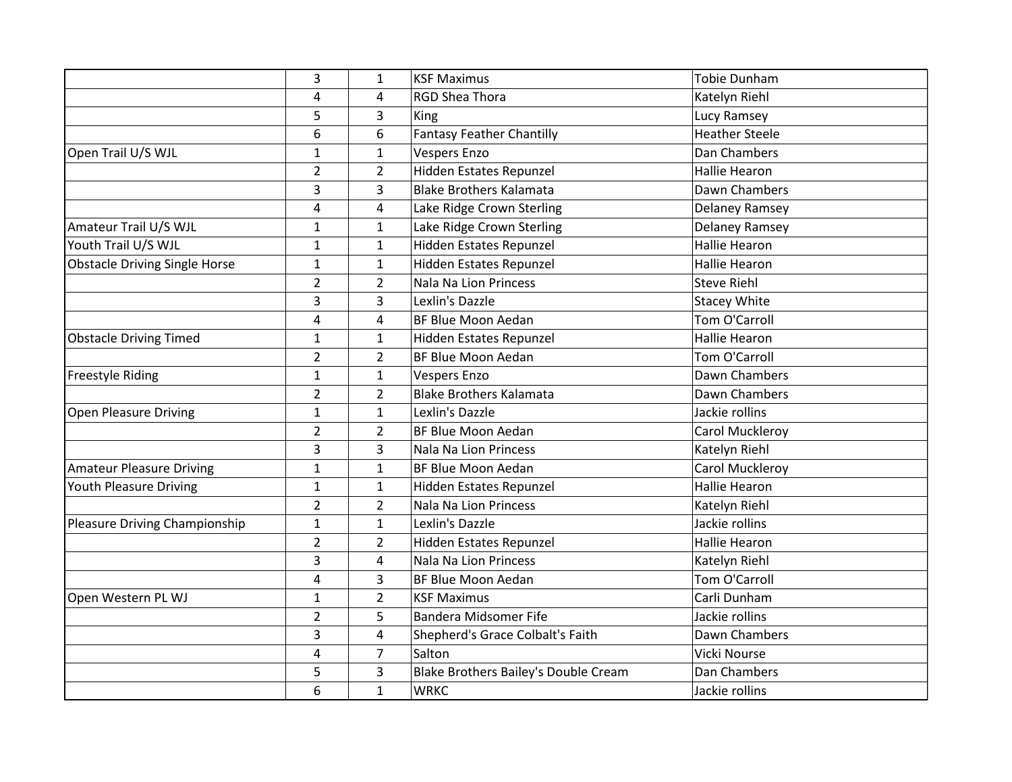|                                      | 3              | $\mathbf{1}$   | <b>KSF Maximus</b>                   | <b>Tobie Dunham</b>   |
|--------------------------------------|----------------|----------------|--------------------------------------|-----------------------|
|                                      | 4              | 4              | <b>RGD Shea Thora</b>                | Katelyn Riehl         |
|                                      | 5              | 3              | King                                 | Lucy Ramsey           |
|                                      | 6              | 6              | <b>Fantasy Feather Chantilly</b>     | <b>Heather Steele</b> |
| Open Trail U/S WJL                   | $\mathbf{1}$   | $\mathbf{1}$   | <b>Vespers Enzo</b>                  | Dan Chambers          |
|                                      | $\overline{2}$ | $\overline{2}$ | Hidden Estates Repunzel              | <b>Hallie Hearon</b>  |
|                                      | 3              | 3              | <b>Blake Brothers Kalamata</b>       | Dawn Chambers         |
|                                      | $\overline{4}$ | 4              | Lake Ridge Crown Sterling            | <b>Delaney Ramsey</b> |
| Amateur Trail U/S WJL                | $\mathbf{1}$   | $\mathbf{1}$   | Lake Ridge Crown Sterling            | Delaney Ramsey        |
| Youth Trail U/S WJL                  | $\mathbf{1}$   | $\mathbf{1}$   | Hidden Estates Repunzel              | Hallie Hearon         |
| <b>Obstacle Driving Single Horse</b> | $\mathbf{1}$   | $\mathbf{1}$   | Hidden Estates Repunzel              | <b>Hallie Hearon</b>  |
|                                      | $\overline{2}$ | $\overline{2}$ | <b>Nala Na Lion Princess</b>         | <b>Steve Riehl</b>    |
|                                      | 3              | 3              | Lexlin's Dazzle                      | <b>Stacey White</b>   |
|                                      | $\overline{4}$ | 4              | BF Blue Moon Aedan                   | <b>Tom O'Carroll</b>  |
| <b>Obstacle Driving Timed</b>        | $\mathbf{1}$   | $\mathbf{1}$   | Hidden Estates Repunzel              | <b>Hallie Hearon</b>  |
|                                      | $\overline{2}$ | $\overline{2}$ | BF Blue Moon Aedan                   | Tom O'Carroll         |
| <b>Freestyle Riding</b>              | $\mathbf{1}$   | $\mathbf{1}$   | <b>Vespers Enzo</b>                  | Dawn Chambers         |
|                                      | $\overline{2}$ | $\overline{2}$ | <b>Blake Brothers Kalamata</b>       | Dawn Chambers         |
| Open Pleasure Driving                | $\mathbf{1}$   | $\mathbf{1}$   | Lexlin's Dazzle                      | Jackie rollins        |
|                                      | $\overline{2}$ | $\overline{2}$ | BF Blue Moon Aedan                   | Carol Muckleroy       |
|                                      | 3              | 3              | <b>Nala Na Lion Princess</b>         | Katelyn Riehl         |
| <b>Amateur Pleasure Driving</b>      | $\mathbf{1}$   | $\mathbf{1}$   | BF Blue Moon Aedan                   | Carol Muckleroy       |
| Youth Pleasure Driving               | $\mathbf{1}$   | $\mathbf{1}$   | Hidden Estates Repunzel              | <b>Hallie Hearon</b>  |
|                                      | $\overline{2}$ | $\overline{2}$ | Nala Na Lion Princess                | Katelyn Riehl         |
| Pleasure Driving Championship        | $\mathbf{1}$   | $\mathbf{1}$   | Lexlin's Dazzle                      | Jackie rollins        |
|                                      | $\overline{2}$ | $\overline{2}$ | Hidden Estates Repunzel              | <b>Hallie Hearon</b>  |
|                                      | 3              | 4              | <b>Nala Na Lion Princess</b>         | Katelyn Riehl         |
|                                      | 4              | 3              | BF Blue Moon Aedan                   | Tom O'Carroll         |
| Open Western PL WJ                   | $\mathbf{1}$   | $\overline{2}$ | <b>KSF Maximus</b>                   | Carli Dunham          |
|                                      | $\overline{2}$ | 5              | <b>Bandera Midsomer Fife</b>         | Jackie rollins        |
|                                      | 3              | 4              | Shepherd's Grace Colbalt's Faith     | Dawn Chambers         |
|                                      | 4              | $\overline{7}$ | Salton                               | Vicki Nourse          |
|                                      | 5              | 3              | Blake Brothers Bailey's Double Cream | Dan Chambers          |
|                                      | 6              | $\mathbf{1}$   | <b>WRKC</b>                          | Jackie rollins        |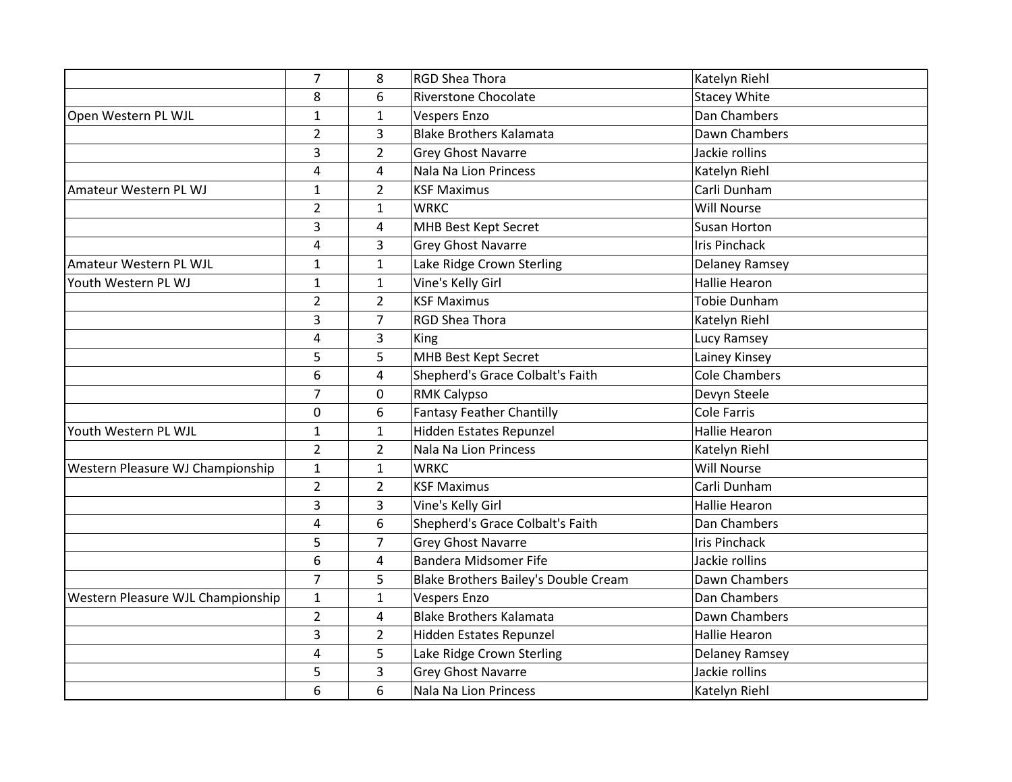|                                   | $\overline{7}$ | 8              | <b>RGD Shea Thora</b>                | Katelyn Riehl         |
|-----------------------------------|----------------|----------------|--------------------------------------|-----------------------|
|                                   | 8              | 6              | <b>Riverstone Chocolate</b>          | <b>Stacey White</b>   |
| Open Western PL WJL               | $\mathbf{1}$   | $\mathbf{1}$   | <b>Vespers Enzo</b>                  | Dan Chambers          |
|                                   | $\overline{2}$ | 3              | <b>Blake Brothers Kalamata</b>       | Dawn Chambers         |
|                                   | 3              | $\overline{2}$ | <b>Grey Ghost Navarre</b>            | Jackie rollins        |
|                                   | $\overline{4}$ | 4              | Nala Na Lion Princess                | Katelyn Riehl         |
| Amateur Western PL WJ             | $\mathbf{1}$   | $\overline{2}$ | <b>KSF Maximus</b>                   | Carli Dunham          |
|                                   | $\overline{2}$ | 1              | <b>WRKC</b>                          | <b>Will Nourse</b>    |
|                                   | 3              | 4              | MHB Best Kept Secret                 | <b>Susan Horton</b>   |
|                                   | $\overline{4}$ | 3              | <b>Grey Ghost Navarre</b>            | <b>Iris Pinchack</b>  |
| Amateur Western PL WJL            | $\mathbf{1}$   | $\mathbf 1$    | Lake Ridge Crown Sterling            | Delaney Ramsey        |
| Youth Western PL WJ               | $\mathbf{1}$   | $\mathbf{1}$   | Vine's Kelly Girl                    | <b>Hallie Hearon</b>  |
|                                   | $\overline{2}$ | $\overline{2}$ | <b>KSF Maximus</b>                   | <b>Tobie Dunham</b>   |
|                                   | 3              | $\overline{7}$ | <b>RGD Shea Thora</b>                | Katelyn Riehl         |
|                                   | $\overline{4}$ | 3              | King                                 | Lucy Ramsey           |
|                                   | 5              | 5              | MHB Best Kept Secret                 | Lainey Kinsey         |
|                                   | 6              | 4              | Shepherd's Grace Colbalt's Faith     | <b>Cole Chambers</b>  |
|                                   | $\overline{7}$ | 0              | <b>RMK Calypso</b>                   | Devyn Steele          |
|                                   | 0              | 6              | <b>Fantasy Feather Chantilly</b>     | <b>Cole Farris</b>    |
| Youth Western PL WJL              | $\mathbf{1}$   | $\mathbf{1}$   | Hidden Estates Repunzel              | <b>Hallie Hearon</b>  |
|                                   | $\overline{2}$ | $\overline{2}$ | <b>Nala Na Lion Princess</b>         | Katelyn Riehl         |
| Western Pleasure WJ Championship  | $\mathbf{1}$   | $\mathbf 1$    | <b>WRKC</b>                          | <b>Will Nourse</b>    |
|                                   | $\overline{2}$ | $\overline{2}$ | <b>KSF Maximus</b>                   | Carli Dunham          |
|                                   | 3              | 3              | Vine's Kelly Girl                    | <b>Hallie Hearon</b>  |
|                                   | 4              | 6              | Shepherd's Grace Colbalt's Faith     | Dan Chambers          |
|                                   | 5              | $\overline{7}$ | <b>Grey Ghost Navarre</b>            | <b>Iris Pinchack</b>  |
|                                   | 6              | 4              | <b>Bandera Midsomer Fife</b>         | Jackie rollins        |
|                                   | $\overline{7}$ | 5              | Blake Brothers Bailey's Double Cream | Dawn Chambers         |
| Western Pleasure WJL Championship | $\mathbf{1}$   | 1              | <b>Vespers Enzo</b>                  | Dan Chambers          |
|                                   | $\overline{2}$ | 4              | <b>Blake Brothers Kalamata</b>       | Dawn Chambers         |
|                                   | 3              | $\overline{2}$ | Hidden Estates Repunzel              | <b>Hallie Hearon</b>  |
|                                   | 4              | 5              | Lake Ridge Crown Sterling            | <b>Delaney Ramsey</b> |
|                                   | 5              | 3              | <b>Grey Ghost Navarre</b>            | Jackie rollins        |
|                                   | 6              | 6              | <b>Nala Na Lion Princess</b>         | Katelyn Riehl         |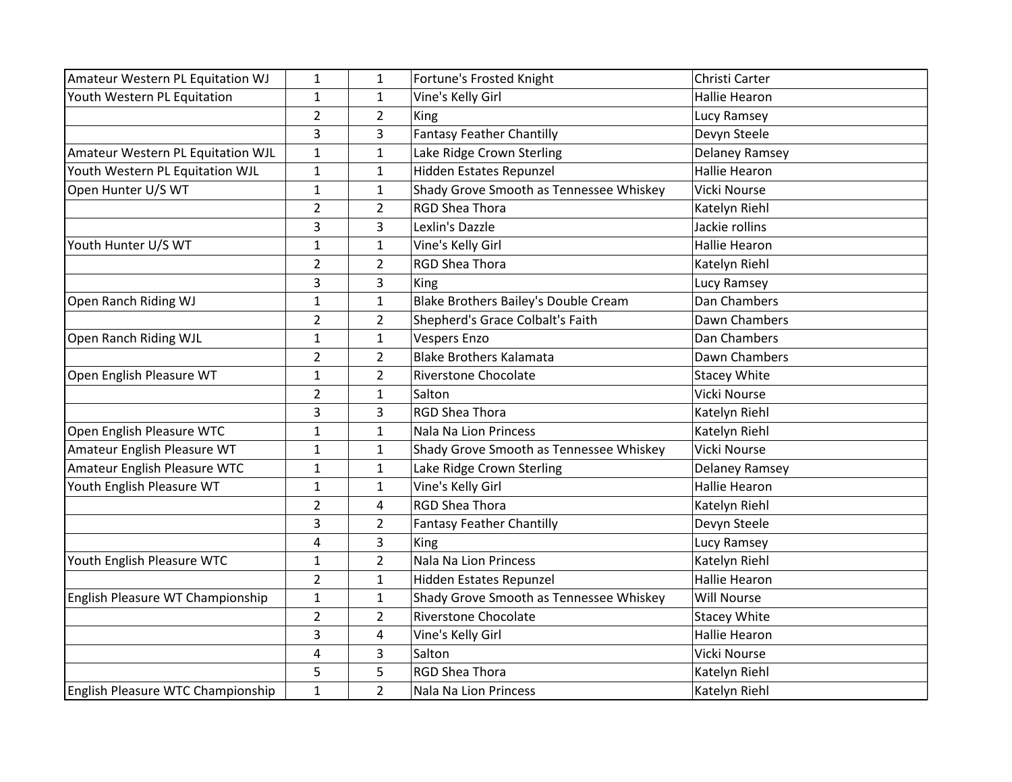| Amateur Western PL Equitation WJ  | 1              | 1              | Fortune's Frosted Knight                | Christi Carter        |
|-----------------------------------|----------------|----------------|-----------------------------------------|-----------------------|
| Youth Western PL Equitation       | $\mathbf{1}$   | $\mathbf{1}$   | Vine's Kelly Girl                       | <b>Hallie Hearon</b>  |
|                                   | $\overline{2}$ | $\overline{2}$ | <b>King</b>                             | Lucy Ramsey           |
|                                   | 3              | 3              | <b>Fantasy Feather Chantilly</b>        | Devyn Steele          |
| Amateur Western PL Equitation WJL | $\mathbf{1}$   | $\mathbf{1}$   | Lake Ridge Crown Sterling               | Delaney Ramsey        |
| Youth Western PL Equitation WJL   | $\mathbf{1}$   | $\mathbf{1}$   | Hidden Estates Repunzel                 | <b>Hallie Hearon</b>  |
| Open Hunter U/S WT                | $\mathbf{1}$   | $\mathbf{1}$   | Shady Grove Smooth as Tennessee Whiskey | Vicki Nourse          |
|                                   | $\overline{2}$ | $\overline{2}$ | <b>RGD Shea Thora</b>                   | Katelyn Riehl         |
|                                   | 3              | 3              | Lexlin's Dazzle                         | Jackie rollins        |
| Youth Hunter U/S WT               | $\mathbf{1}$   | $\mathbf{1}$   | Vine's Kelly Girl                       | <b>Hallie Hearon</b>  |
|                                   | $\overline{2}$ | $\overline{2}$ | <b>RGD Shea Thora</b>                   | Katelyn Riehl         |
|                                   | 3              | 3              | King                                    | Lucy Ramsey           |
| Open Ranch Riding WJ              | $\mathbf{1}$   | $\mathbf{1}$   | Blake Brothers Bailey's Double Cream    | Dan Chambers          |
|                                   | $\overline{2}$ | $\overline{2}$ | Shepherd's Grace Colbalt's Faith        | Dawn Chambers         |
| Open Ranch Riding WJL             | $\mathbf{1}$   | $\mathbf{1}$   | <b>Vespers Enzo</b>                     | Dan Chambers          |
|                                   | $\overline{2}$ | $\overline{2}$ | <b>Blake Brothers Kalamata</b>          | Dawn Chambers         |
| Open English Pleasure WT          | $\mathbf{1}$   | $\overline{2}$ | <b>Riverstone Chocolate</b>             | <b>Stacey White</b>   |
|                                   | $\overline{2}$ | $\mathbf{1}$   | Salton                                  | <b>Vicki Nourse</b>   |
|                                   | 3              | 3              | <b>RGD Shea Thora</b>                   | Katelyn Riehl         |
| Open English Pleasure WTC         | $\mathbf{1}$   | $\mathbf{1}$   | <b>Nala Na Lion Princess</b>            | Katelyn Riehl         |
| Amateur English Pleasure WT       | $\mathbf{1}$   | $\mathbf{1}$   | Shady Grove Smooth as Tennessee Whiskey | Vicki Nourse          |
| Amateur English Pleasure WTC      | $\mathbf{1}$   | 1              | Lake Ridge Crown Sterling               | <b>Delaney Ramsey</b> |
| Youth English Pleasure WT         | $\mathbf{1}$   | $\mathbf{1}$   | Vine's Kelly Girl                       | <b>Hallie Hearon</b>  |
|                                   | $\overline{2}$ | 4              | <b>RGD Shea Thora</b>                   | Katelyn Riehl         |
|                                   | 3              | $\overline{2}$ | <b>Fantasy Feather Chantilly</b>        | Devyn Steele          |
|                                   | 4              | 3              | King                                    | Lucy Ramsey           |
| Youth English Pleasure WTC        | $\mathbf{1}$   | $\overline{2}$ | Nala Na Lion Princess                   | Katelyn Riehl         |
|                                   | $\overline{2}$ | $\mathbf{1}$   | Hidden Estates Repunzel                 | <b>Hallie Hearon</b>  |
| English Pleasure WT Championship  | $\mathbf{1}$   | $\mathbf{1}$   | Shady Grove Smooth as Tennessee Whiskey | <b>Will Nourse</b>    |
|                                   | $\overline{2}$ | $\overline{2}$ | <b>Riverstone Chocolate</b>             | <b>Stacey White</b>   |
|                                   | 3              | 4              | Vine's Kelly Girl                       | <b>Hallie Hearon</b>  |
|                                   | 4              | 3              | Salton                                  | Vicki Nourse          |
|                                   | 5              | 5              | <b>RGD Shea Thora</b>                   | Katelyn Riehl         |
| English Pleasure WTC Championship | $\mathbf{1}$   | $\overline{2}$ | Nala Na Lion Princess                   | Katelyn Riehl         |